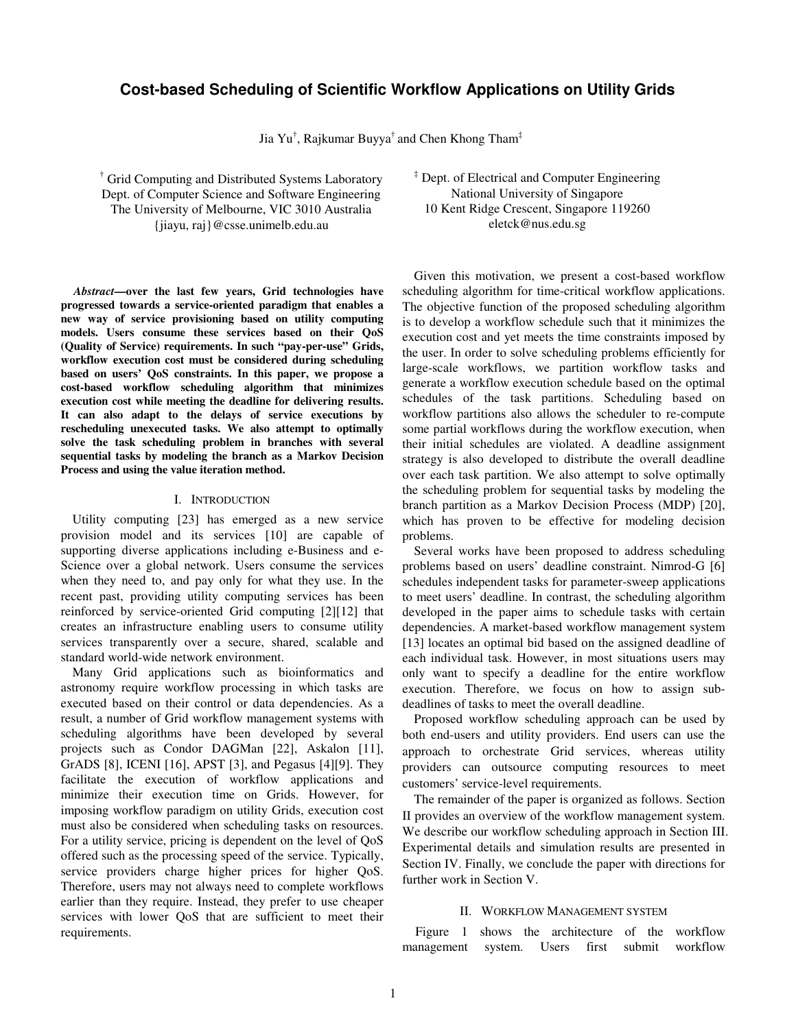# Cost-based Scheduling of Scientific Workflow Applications on Utility Grids

Jia Yu $^\dagger$ , Rajkumar Buyya $^\dagger$  and Chen Khong Tham $^\ddagger$ 

† Grid Computing and Distributed Systems Laboratory Dept. of Computer Science and Software Engineering The University of Melbourne, VIC 3010 Australia {jiayu, raj}@csse.unimelb.edu.au

Abstract—over the last few years, Grid technologies have progressed towards a service-oriented paradigm that enables a new way of service provisioning based on utility computing models. Users consume these services based on their QoS (Quality of Service) requirements. In such "pay-per-use" Grids, workflow execution cost must be considered during scheduling based on users' QoS constraints. In this paper, we propose a cost-based workflow scheduling algorithm that minimizes execution cost while meeting the deadline for delivering results. It can also adapt to the delays of service executions by rescheduling unexecuted tasks. We also attempt to optimally solve the task scheduling problem in branches with several sequential tasks by modeling the branch as a Markov Decision Process and using the value iteration method.

#### I. INTRODUCTION

Utility computing [23] has emerged as a new service provision model and its services [10] are capable of supporting diverse applications including e-Business and e-Science over a global network. Users consume the services when they need to, and pay only for what they use. In the recent past, providing utility computing services has been reinforced by service-oriented Grid computing [2][12] that creates an infrastructure enabling users to consume utility services transparently over a secure, shared, scalable and standard world-wide network environment.

Many Grid applications such as bioinformatics and astronomy require workflow processing in which tasks are executed based on their control or data dependencies. As a result, a number of Grid workflow management systems with scheduling algorithms have been developed by several projects such as Condor DAGMan [22], Askalon [11], GrADS [8], ICENI [16], APST [3], and Pegasus [4][9]. They facilitate the execution of workflow applications and minimize their execution time on Grids. However, for imposing workflow paradigm on utility Grids, execution cost must also be considered when scheduling tasks on resources. For a utility service, pricing is dependent on the level of QoS offered such as the processing speed of the service. Typically, service providers charge higher prices for higher QoS. Therefore, users may not always need to complete workflows earlier than they require. Instead, they prefer to use cheaper services with lower QoS that are sufficient to meet their requirements.

‡ Dept. of Electrical and Computer Engineering National University of Singapore 10 Kent Ridge Crescent, Singapore 119260 eletck@nus.edu.sg

Given this motivation, we present a cost-based workflow scheduling algorithm for time-critical workflow applications. The objective function of the proposed scheduling algorithm is to develop a workflow schedule such that it minimizes the execution cost and yet meets the time constraints imposed by the user. In order to solve scheduling problems efficiently for large-scale workflows, we partition workflow tasks and generate a workflow execution schedule based on the optimal schedules of the task partitions. Scheduling based on workflow partitions also allows the scheduler to re-compute some partial workflows during the workflow execution, when their initial schedules are violated. A deadline assignment strategy is also developed to distribute the overall deadline over each task partition. We also attempt to solve optimally the scheduling problem for sequential tasks by modeling the branch partition as a Markov Decision Process (MDP) [20], which has proven to be effective for modeling decision problems.

Several works have been proposed to address scheduling problems based on users' deadline constraint. Nimrod-G [6] schedules independent tasks for parameter-sweep applications to meet users' deadline. In contrast, the scheduling algorithm developed in the paper aims to schedule tasks with certain dependencies. A market-based workflow management system [13] locates an optimal bid based on the assigned deadline of each individual task. However, in most situations users may only want to specify a deadline for the entire workflow execution. Therefore, we focus on how to assign subdeadlines of tasks to meet the overall deadline.

Proposed workflow scheduling approach can be used by both end-users and utility providers. End users can use the approach to orchestrate Grid services, whereas utility providers can outsource computing resources to meet customers' service-level requirements.

The remainder of the paper is organized as follows. Section II provides an overview of the workflow management system. We describe our workflow scheduling approach in Section III. Experimental details and simulation results are presented in Section IV. Finally, we conclude the paper with directions for further work in Section V.

#### II. WORKFLOW MANAGEMENT SYSTEM

Figure 1 shows the architecture of the workflow management system. Users first submit workflow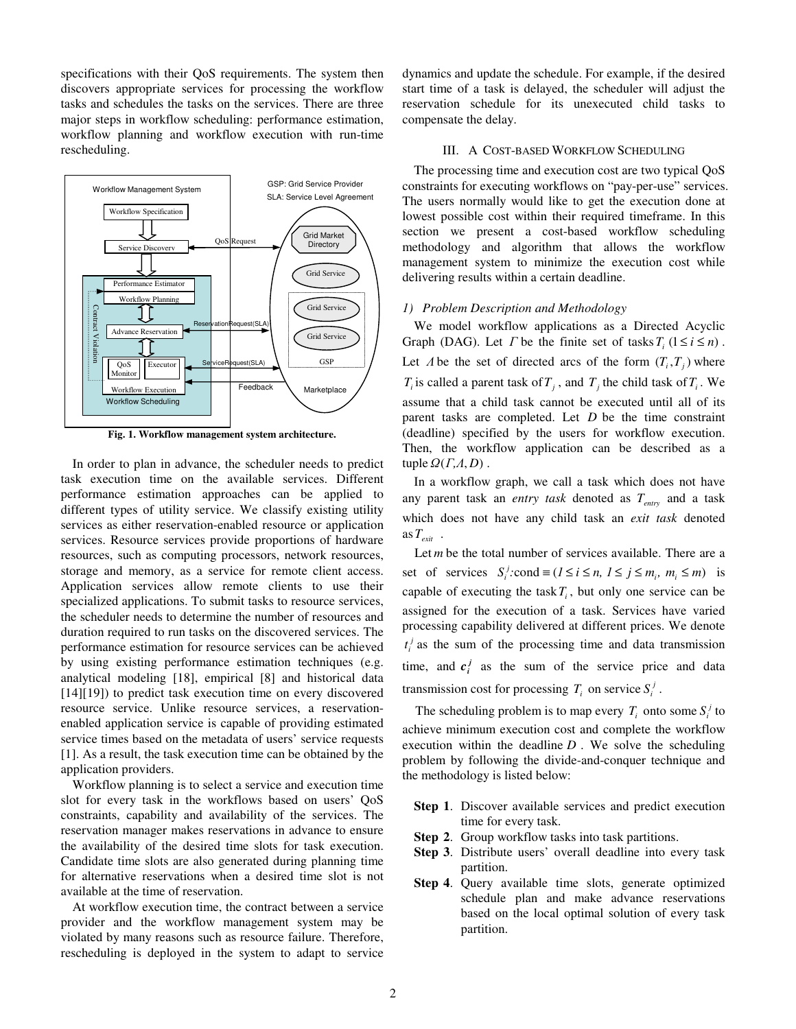specifications with their QoS requirements. The system then discovers appropriate services for processing the workflow tasks and schedules the tasks on the services. There are three major steps in workflow scheduling: performance estimation, workflow planning and workflow execution with run-time rescheduling.



Fig. 1. Workflow management system architecture.

In order to plan in advance, the scheduler needs to predict task execution time on the available services. Different performance estimation approaches can be applied to different types of utility service. We classify existing utility services as either reservation-enabled resource or application services. Resource services provide proportions of hardware resources, such as computing processors, network resources, storage and memory, as a service for remote client access. Application services allow remote clients to use their specialized applications. To submit tasks to resource services, the scheduler needs to determine the number of resources and duration required to run tasks on the discovered services. The performance estimation for resource services can be achieved by using existing performance estimation techniques (e.g. analytical modeling [18], empirical [8] and historical data [14][19]) to predict task execution time on every discovered resource service. Unlike resource services, a reservationenabled application service is capable of providing estimated service times based on the metadata of users' service requests [1]. As a result, the task execution time can be obtained by the application providers.

Workflow planning is to select a service and execution time slot for every task in the workflows based on users' QoS constraints, capability and availability of the services. The reservation manager makes reservations in advance to ensure the availability of the desired time slots for task execution. Candidate time slots are also generated during planning time for alternative reservations when a desired time slot is not available at the time of reservation.

At workflow execution time, the contract between a service provider and the workflow management system may be violated by many reasons such as resource failure. Therefore, rescheduling is deployed in the system to adapt to service dynamics and update the schedule. For example, if the desired start time of a task is delayed, the scheduler will adjust the reservation schedule for its unexecuted child tasks to compensate the delay.

#### III. A COST-BASED WORKFLOW SCHEDULING

The processing time and execution cost are two typical QoS constraints for executing workflows on "pay-per-use" services. The users normally would like to get the execution done at lowest possible cost within their required timeframe. In this section we present a cost-based workflow scheduling methodology and algorithm that allows the workflow management system to minimize the execution cost while delivering results within a certain deadline.

#### 1) Problem Description and Methodology

We model workflow applications as a Directed Acyclic Graph (DAG). Let  $\Gamma$  be the finite set of tasks  $T_i$  ( $1 \le i \le n$ ). Let  $\Lambda$  be the set of directed arcs of the form  $(T_i, T_j)$  where  $T_i$  is called a parent task of  $T_j$ , and  $T_j$  the child task of  $T_i$ . We assume that a child task cannot be executed until all of its parent tasks are completed. Let  $D$  be the time constraint (deadline) specified by the users for workflow execution. Then, the workflow application can be described as a tuple  $\Omega(\Gamma,\Lambda,D)$ .

In a workflow graph, we call a task which does not have any parent task an *entry task* denoted as  $T_{\text{entry}}$  and a task which does not have any child task an exit task denoted as  $T_{\text{crit}}$ .

Let  $m$  be the total number of services available. There are a set of services  $S_i^j$ : cond  $\equiv (1 \le i \le n, 1 \le j \le m_i, m_i \le m)$  is capable of executing the task  $T_i$ , but only one service can be assigned for the execution of a task. Services have varied processing capability delivered at different prices. We denote  $t_i^j$  as the sum of the processing time and data transmission time, and  $c_i^j$  as the sum of the service price and data transmission cost for processing  $T_i$  on service  $S_i^j$ .

The scheduling problem is to map every  $T_i$  onto some  $S_i^j$  to achieve minimum execution cost and complete the workflow execution within the deadline  $D$ . We solve the scheduling problem by following the divide-and-conquer technique and the methodology is listed below:

- Step 1. Discover available services and predict execution time for every task.
- Step 2. Group workflow tasks into task partitions.
- Step 3. Distribute users' overall deadline into every task partition.
- Step 4. Query available time slots, generate optimized schedule plan and make advance reservations based on the local optimal solution of every task partition.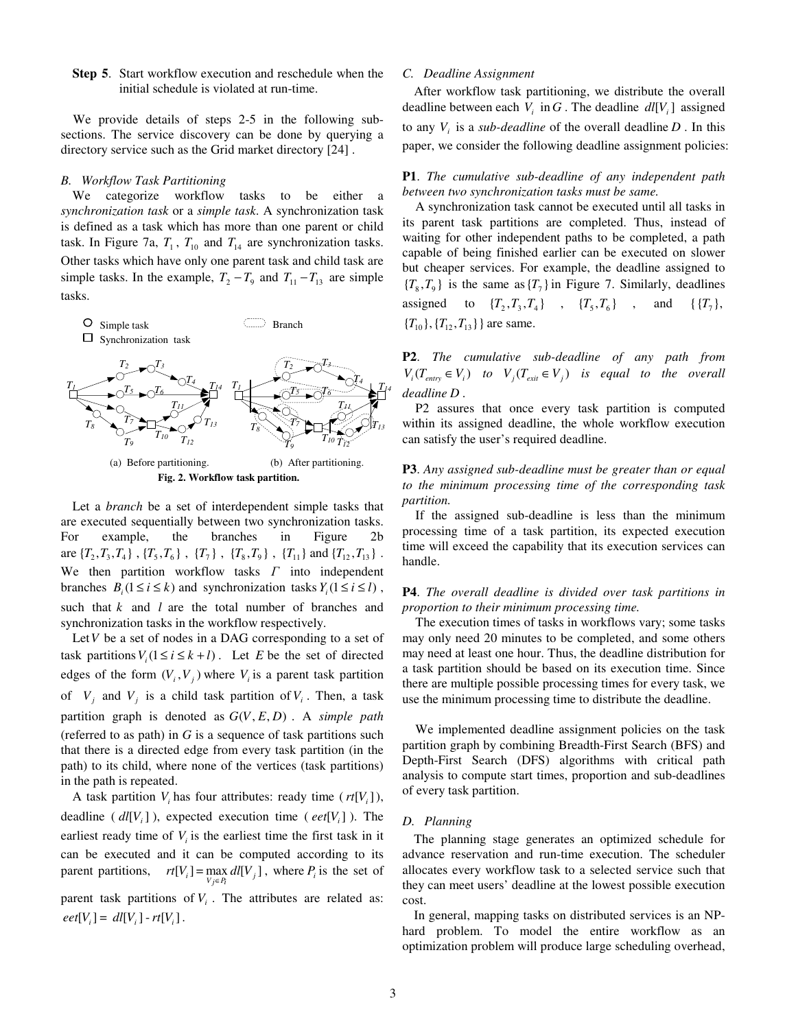# Step 5. Start workflow execution and reschedule when the initial schedule is violated at run-time.

We provide details of steps 2-5 in the following subsections. The service discovery can be done by querying a directory service such as the Grid market directory [24] .

#### B. Workflow Task Partitioning

We categorize workflow tasks to be either a synchronization task or a simple task. A synchronization task is defined as a task which has more than one parent or child task. In Figure 7a,  $T_1$ ,  $T_{10}$  and  $T_{14}$  are synchronization tasks. Other tasks which have only one parent task and child task are simple tasks. In the example,  $T_2 - T_9$  and  $T_{11} - T_{13}$  are simple tasks.



Let a branch be a set of interdependent simple tasks that are executed sequentially between two synchronization tasks. For example, the branches in Figure 2b are  ${T_2, T_3, T_4}$ ,  ${T_5, T_6}$ ,  ${T_7}$ ,  ${T_8, T_9}$ ,  ${T_{11}}$  and  ${T_{12}, T_{13}}$ . We then partition workflow tasks  $\Gamma$  into independent branches  $B_i$  ( $1 \le i \le k$ ) and synchronization tasks  $Y_i$  ( $1 \le i \le l$ ), such that  $k$  and  $l$  are the total number of branches and synchronization tasks in the workflow respectively.

Let  $V$  be a set of nodes in a DAG corresponding to a set of task partitions  $V_i$  ( $1 \le i \le k + l$ ). Let E be the set of directed edges of the form  $(V_i, V_j)$  where  $V_i$  is a parent task partition of  $V_j$  and  $V_j$  is a child task partition of  $V_i$ . Then, a task partition graph is denoted as  $G(V, E, D)$ . A simple path (referred to as path) in  $G$  is a sequence of task partitions such that there is a directed edge from every task partition (in the path) to its child, where none of the vertices (task partitions) in the path is repeated.

A task partition  $V_i$  has four attributes: ready time  $(rt[V_i])$ , deadline ( $dl[V_i]$ ), expected execution time ( $eet[V_i]$ ). The earliest ready time of  $V_i$  is the earliest time the first task in it can be executed and it can be computed according to its parent partitions,  $rt[V_i] = \max_{V_j \in P_i} d[V_j]$ , where  $P_i$  is the set of parent task partitions of  $V_i$ . The attributes are related as:  $eet[V_i] = dl[V_i] - rt[V_i]$ .

#### C. Deadline Assignment

After workflow task partitioning, we distribute the overall deadline between each  $V_i$  in G. The deadline  $dl[V_i]$  assigned to any  $V_i$  is a *sub-deadline* of the overall deadline  $D$ . In this paper, we consider the following deadline assignment policies:

# **P1**. The cumulative sub-deadline of any independent path between two synchronization tasks must be same.

A synchronization task cannot be executed until all tasks in its parent task partitions are completed. Thus, instead of waiting for other independent paths to be completed, a path capable of being finished earlier can be executed on slower but cheaper services. For example, the deadline assigned to  ${T_8, T_9}$  is the same as  ${T_7}$  in Figure 7. Similarly, deadlines assigned to  $\{T_2, T_3, T_4\}$ ,  $\{T_5, T_6\}$ and { $\{T_7\}$ ,  ${T_{10}}$ ,  ${T_{12}, T_{13}}$  are same.

P2. The cumulative sub-deadline of any path from  $V_i(T_{entry} \in V_i)$  to  $V_j(T_{exit} \in V_j)$  is equal to the overall deadline D .

P2 assures that once every task partition is computed within its assigned deadline, the whole workflow execution can satisfy the user's required deadline.

P3. Any assigned sub-deadline must be greater than or equal to the minimum processing time of the corresponding task partition.

If the assigned sub-deadline is less than the minimum processing time of a task partition, its expected execution time will exceed the capability that its execution services can handle.

# P4. The overall deadline is divided over task partitions in proportion to their minimum processing time.

The execution times of tasks in workflows vary; some tasks may only need 20 minutes to be completed, and some others may need at least one hour. Thus, the deadline distribution for a task partition should be based on its execution time. Since there are multiple possible processing times for every task, we use the minimum processing time to distribute the deadline.

We implemented deadline assignment policies on the task partition graph by combining Breadth-First Search (BFS) and Depth-First Search (DFS) algorithms with critical path analysis to compute start times, proportion and sub-deadlines of every task partition.

#### D. Planning

The planning stage generates an optimized schedule for advance reservation and run-time execution. The scheduler allocates every workflow task to a selected service such that they can meet users' deadline at the lowest possible execution cost.

In general, mapping tasks on distributed services is an NPhard problem. To model the entire workflow as an optimization problem will produce large scheduling overhead,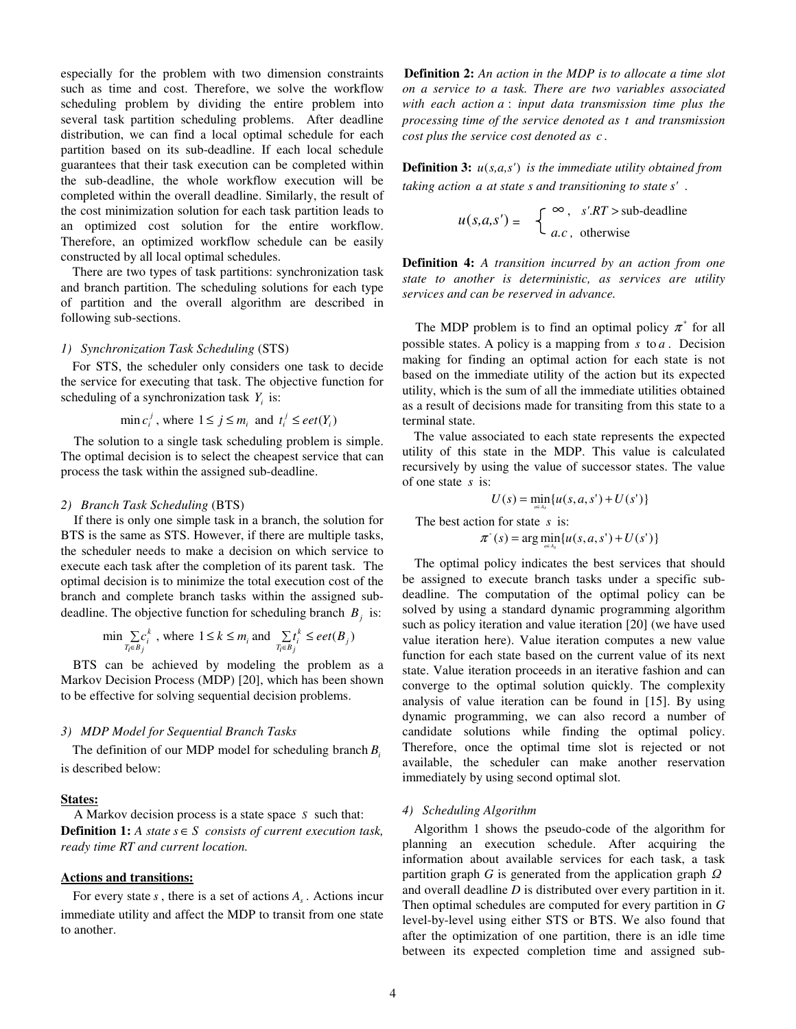especially for the problem with two dimension constraints such as time and cost. Therefore, we solve the workflow scheduling problem by dividing the entire problem into several task partition scheduling problems. After deadline distribution, we can find a local optimal schedule for each partition based on its sub-deadline. If each local schedule guarantees that their task execution can be completed within the sub-deadline, the whole workflow execution will be completed within the overall deadline. Similarly, the result of the cost minimization solution for each task partition leads to an optimized cost solution for the entire workflow. Therefore, an optimized workflow schedule can be easily constructed by all local optimal schedules.

There are two types of task partitions: synchronization task and branch partition. The scheduling solutions for each type of partition and the overall algorithm are described in following sub-sections.

### 1) Synchronization Task Scheduling (STS)

For STS, the scheduler only considers one task to decide the service for executing that task. The objective function for scheduling of a synchronization task  $Y_i$  is:

$$
\min c_i^j, \text{ where } 1 \le j \le m_i \text{ and } t_i^j \le eet(Y_i)
$$

The solution to a single task scheduling problem is simple. The optimal decision is to select the cheapest service that can process the task within the assigned sub-deadline.

#### 2) Branch Task Scheduling (BTS)

If there is only one simple task in a branch, the solution for BTS is the same as STS. However, if there are multiple tasks, the scheduler needs to make a decision on which service to execute each task after the completion of its parent task. The optimal decision is to minimize the total execution cost of the branch and complete branch tasks within the assigned subdeadline. The objective function for scheduling branch  $B_j$  is:

$$
\min \sum_{T_i \in B_j} c_i^k
$$
, where  $1 \le k \le m_i$  and 
$$
\sum_{T_i \in B_j} t_i^k \le eet(B_j)
$$

BTS can be achieved by modeling the problem as a Markov Decision Process (MDP) [20], which has been shown to be effective for solving sequential decision problems.

# 3) MDP Model for Sequential Branch Tasks

The definition of our MDP model for scheduling branch  $B_i$ is described below:

# States:

A Markov decision process is a state space  $S$  such that: **Definition 1:** A state  $s \in S$  consists of current execution task, ready time RT and current location.

# Actions and transitions:

For every state  $s$ , there is a set of actions  $A_s$ . Actions incur immediate utility and affect the MDP to transit from one state to another.

Definition 2: An action in the MDP is to allocate a time slot on a service to a task. There are two variables associated with each action a : input data transmission time plus the processing time of the service denoted as t and transmission cost plus the service cost denoted as c .

**Definition 3:**  $u(s,a,s')$  is the immediate utility obtained from taking action a at state s and transitioning to state s' .

$$
u(s,a,s') = \begin{cases} \infty, & s'.RT > \text{sub-deadline} \\ a.c, & \text{otherwise} \end{cases}
$$

Definition 4: A transition incurred by an action from one state to another is deterministic, as services are utility services and can be reserved in advance.

The MDP problem is to find an optimal policy  $\pi^*$  for all possible states. A policy is a mapping from  $s$  to  $a$ . Decision making for finding an optimal action for each state is not based on the immediate utility of the action but its expected utility, which is the sum of all the immediate utilities obtained as a result of decisions made for transiting from this state to a terminal state.

The value associated to each state represents the expected utility of this state in the MDP. This value is calculated recursively by using the value of successor states. The value of one state s is:

$$
U(s) = \min_{a \in A_1} \{u(s, a, s') + U(s')\}
$$

The best action for state  $s$  is:

$$
\pi^*(s) = \arg\min_{a \in A_s} \{u(s, a, s') + U(s')\}
$$

The optimal policy indicates the best services that should be assigned to execute branch tasks under a specific subdeadline. The computation of the optimal policy can be solved by using a standard dynamic programming algorithm such as policy iteration and value iteration [20] (we have used value iteration here). Value iteration computes a new value function for each state based on the current value of its next state. Value iteration proceeds in an iterative fashion and can converge to the optimal solution quickly. The complexity analysis of value iteration can be found in [15]. By using dynamic programming, we can also record a number of candidate solutions while finding the optimal policy. Therefore, once the optimal time slot is rejected or not available, the scheduler can make another reservation immediately by using second optimal slot.

#### 4) Scheduling Algorithm

Algorithm 1 shows the pseudo-code of the algorithm for planning an execution schedule. After acquiring the information about available services for each task, a task partition graph G is generated from the application graph  $\Omega$ and overall deadline  $D$  is distributed over every partition in it. Then optimal schedules are computed for every partition in G level-by-level using either STS or BTS. We also found that after the optimization of one partition, there is an idle time between its expected completion time and assigned sub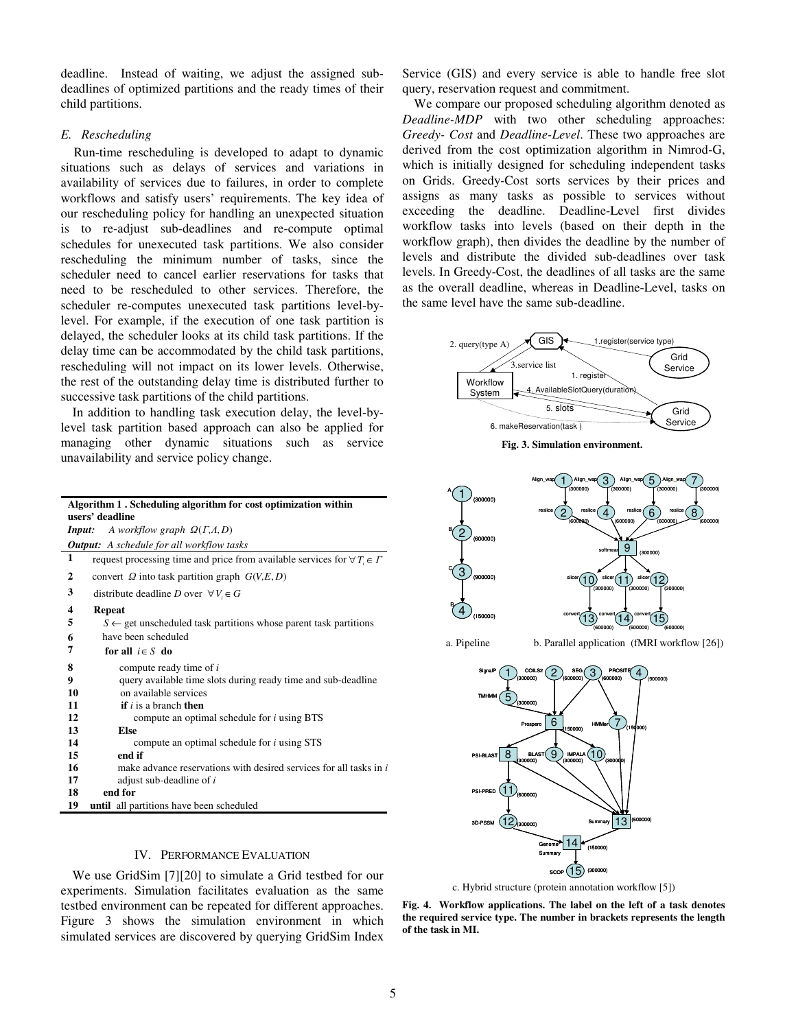deadline. Instead of waiting, we adjust the assigned subdeadlines of optimized partitions and the ready times of their child partitions.

### E. Rescheduling

 Run-time rescheduling is developed to adapt to dynamic situations such as delays of services and variations in availability of services due to failures, in order to complete workflows and satisfy users' requirements. The key idea of our rescheduling policy for handling an unexpected situation is to re-adjust sub-deadlines and re-compute optimal schedules for unexecuted task partitions. We also consider rescheduling the minimum number of tasks, since the scheduler need to cancel earlier reservations for tasks that need to be rescheduled to other services. Therefore, the scheduler re-computes unexecuted task partitions level-bylevel. For example, if the execution of one task partition is delayed, the scheduler looks at its child task partitions. If the delay time can be accommodated by the child task partitions, rescheduling will not impact on its lower levels. Otherwise, the rest of the outstanding delay time is distributed further to successive task partitions of the child partitions.

In addition to handling task execution delay, the level-bylevel task partition based approach can also be applied for managing other dynamic situations such as service unavailability and service policy change.

| Algorithm 1. Scheduling algorithm for cost optimization within<br>users' deadline<br>A workflow graph $\Omega(\Gamma, A, D)$<br>Input:                                                |
|---------------------------------------------------------------------------------------------------------------------------------------------------------------------------------------|
| <b>Output:</b> A schedule for all workflow tasks                                                                                                                                      |
| 1<br>request processing time and price from available services for $\forall T_i \in \Gamma$                                                                                           |
| 2<br>convert $\Omega$ into task partition graph $G(V,E,D)$                                                                                                                            |
| 3<br>distribute deadline <i>D</i> over $\forall V_i \in G$                                                                                                                            |
| $\overline{\mathbf{4}}$<br><b>Repeat</b><br>5<br>$S \leftarrow$ get unscheduled task partitions whose parent task partitions<br>have been scheduled<br>6<br>7<br>for all $i \in S$ do |
| 8<br>compute ready time of i<br>9<br>query available time slots during ready time and sub-deadline<br>10<br>on available services<br>11<br><b>if</b> $i$ is a branch <b>then</b>      |
| 12<br>compute an optimal schedule for <i>i</i> using BTS                                                                                                                              |
| 13<br>Else<br>14<br>compute an optimal schedule for <i>i</i> using STS                                                                                                                |
| 15<br>end if                                                                                                                                                                          |
| 16<br>make advance reservations with desired services for all tasks in $i$                                                                                                            |
| 17<br>adjust sub-deadline of i<br>end for<br>18                                                                                                                                       |
| 19<br>until all partitions have been scheduled                                                                                                                                        |

# IV. PERFORMANCE EVALUATION

We use GridSim [7][20] to simulate a Grid testbed for our experiments. Simulation facilitates evaluation as the same testbed environment can be repeated for different approaches. Figure 3 shows the simulation environment in which simulated services are discovered by querying GridSim Index

Service (GIS) and every service is able to handle free slot query, reservation request and commitment.

We compare our proposed scheduling algorithm denoted as Deadline-MDP with two other scheduling approaches: Greedy- Cost and Deadline-Level. These two approaches are derived from the cost optimization algorithm in Nimrod-G, which is initially designed for scheduling independent tasks on Grids. Greedy-Cost sorts services by their prices and assigns as many tasks as possible to services without exceeding the deadline. Deadline-Level first divides workflow tasks into levels (based on their depth in the workflow graph), then divides the deadline by the number of levels and distribute the divided sub-deadlines over task levels. In Greedy-Cost, the deadlines of all tasks are the same as the overall deadline, whereas in Deadline-Level, tasks on the same level have the same sub-deadline.



Fig. 3. Simulation environment.



a. Pipeline b. Parallel application (fMRI workflow [26])



c. Hybrid structure (protein annotation workflow [5])

Fig. 4. Workflow applications. The label on the left of a task denotes the required service type. The number in brackets represents the length of the task in MI.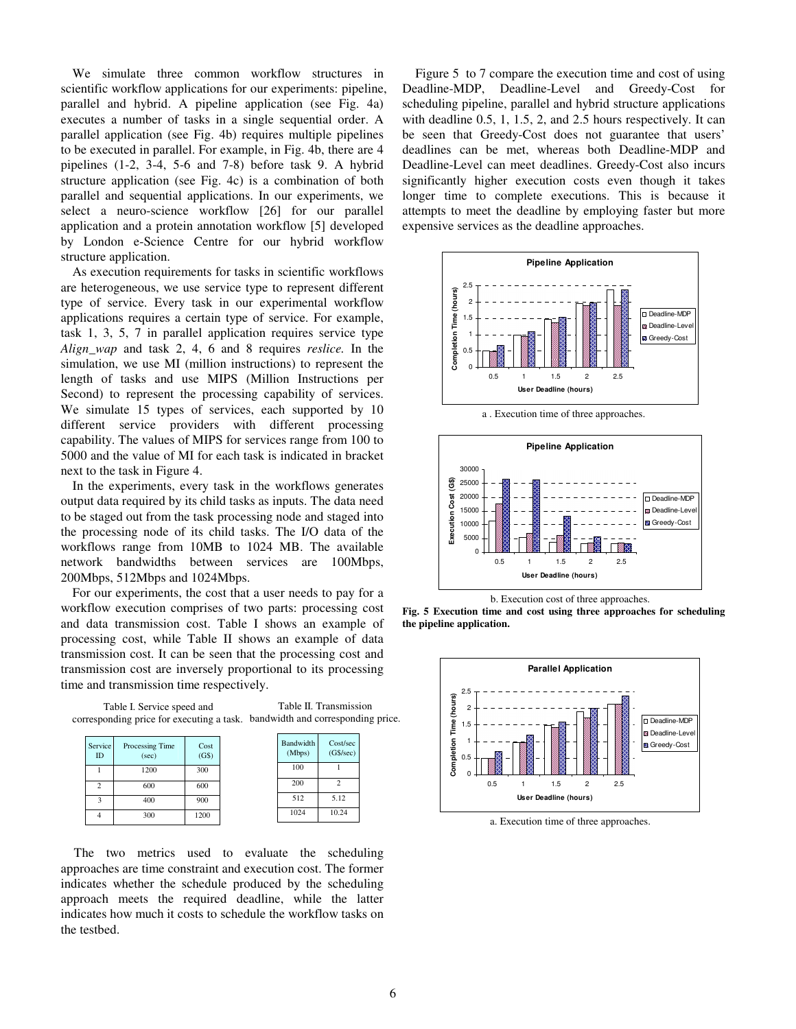We simulate three common workflow structures in scientific workflow applications for our experiments: pipeline, parallel and hybrid. A pipeline application (see Fig. 4a) executes a number of tasks in a single sequential order. A parallel application (see Fig. 4b) requires multiple pipelines to be executed in parallel. For example, in Fig. 4b, there are 4 pipelines (1-2, 3-4, 5-6 and 7-8) before task 9. A hybrid structure application (see Fig. 4c) is a combination of both parallel and sequential applications. In our experiments, we select a neuro-science workflow [26] for our parallel application and a protein annotation workflow [5] developed by London e-Science Centre for our hybrid workflow structure application.

As execution requirements for tasks in scientific workflows are heterogeneous, we use service type to represent different type of service. Every task in our experimental workflow applications requires a certain type of service. For example, task 1, 3, 5, 7 in parallel application requires service type Align\_wap and task 2, 4, 6 and 8 requires *reslice*. In the simulation, we use MI (million instructions) to represent the length of tasks and use MIPS (Million Instructions per Second) to represent the processing capability of services. We simulate 15 types of services, each supported by 10 different service providers with different processing capability. The values of MIPS for services range from 100 to 5000 and the value of MI for each task is indicated in bracket next to the task in Figure 4.

In the experiments, every task in the workflows generates output data required by its child tasks as inputs. The data need to be staged out from the task processing node and staged into the processing node of its child tasks. The I/O data of the workflows range from 10MB to 1024 MB. The available network bandwidths between services are 100Mbps, 200Mbps, 512Mbps and 1024Mbps.

For our experiments, the cost that a user needs to pay for a workflow execution comprises of two parts: processing cost and data transmission cost. Table I shows an example of processing cost, while Table II shows an example of data transmission cost. It can be seen that the processing cost and transmission cost are inversely proportional to its processing time and transmission time respectively.

| Table I. Service speed and                                                   | Table II. Transmission |
|------------------------------------------------------------------------------|------------------------|
| corresponding price for executing a task. bandwidth and corresponding price. |                        |

| Service<br>ID | Processing Time<br>(sec) | Cost<br>(G\$) |
|---------------|--------------------------|---------------|
|               | 1200                     | 300           |
| 2             | 600                      | 600           |
| $\mathbf{a}$  | 400                      | 900           |
|               | 300                      | 1200          |

| Bandwidth<br>(Mbps) | Cost/sec<br>(G\$/sec) |  |
|---------------------|-----------------------|--|
| 100                 |                       |  |
| 200                 | $\mathfrak{D}$        |  |
| 512                 | 5.12                  |  |
| 1024                | 10.24                 |  |

The two metrics used to evaluate the scheduling approaches are time constraint and execution cost. The former indicates whether the schedule produced by the scheduling approach meets the required deadline, while the latter indicates how much it costs to schedule the workflow tasks on the testbed.

Figure 5 to 7 compare the execution time and cost of using Deadline-MDP, Deadline-Level and Greedy-Cost for scheduling pipeline, parallel and hybrid structure applications with deadline 0.5, 1, 1.5, 2, and 2.5 hours respectively. It can be seen that Greedy-Cost does not guarantee that users' deadlines can be met, whereas both Deadline-MDP and Deadline-Level can meet deadlines. Greedy-Cost also incurs significantly higher execution costs even though it takes longer time to complete executions. This is because it attempts to meet the deadline by employing faster but more expensive services as the deadline approaches.



a . Execution time of three approaches.





Fig. 5 Execution time and cost using three approaches for scheduling the pipeline application.



a. Execution time of three approaches.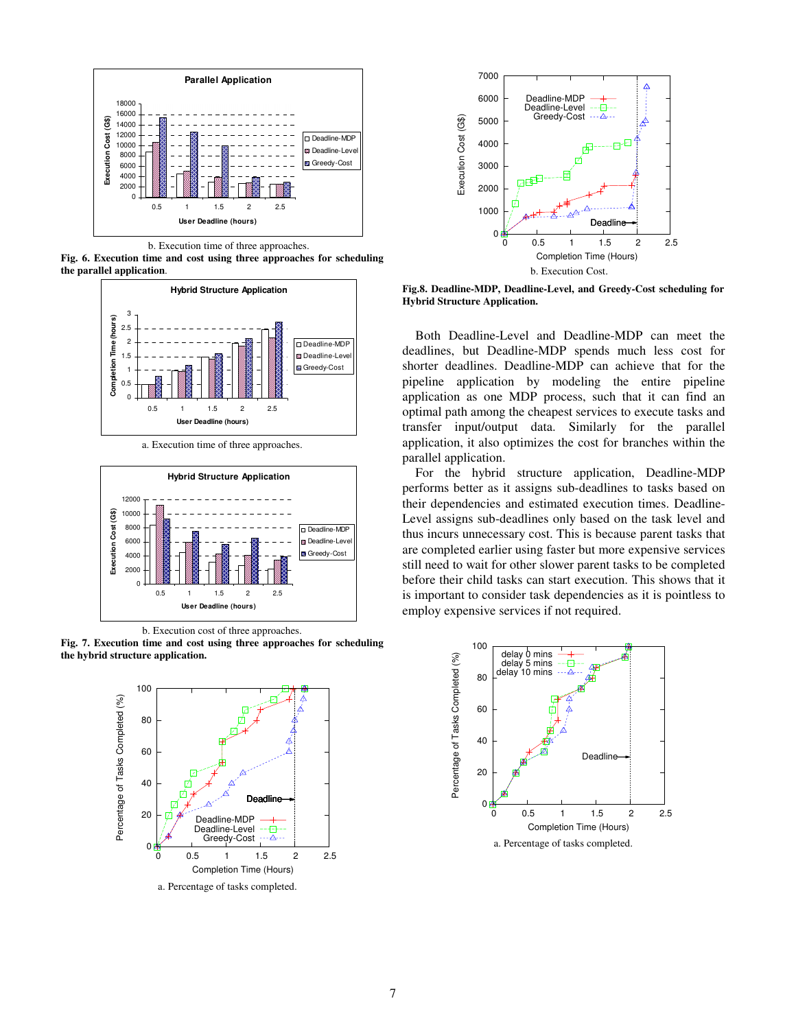

b. Execution time of three approaches.

Fig. 6. Execution time and cost using three approaches for scheduling the parallel application.



a. Execution time of three approaches.



b. Execution cost of three approaches.

Fig. 7. Execution time and cost using three approaches for scheduling the hybrid structure application.



a. Percentage of tasks completed.



Fig.8. Deadline-MDP, Deadline-Level, and Greedy-Cost scheduling for Hybrid Structure Application.

Both Deadline-Level and Deadline-MDP can meet the deadlines, but Deadline-MDP spends much less cost for shorter deadlines. Deadline-MDP can achieve that for the pipeline application by modeling the entire pipeline application as one MDP process, such that it can find an optimal path among the cheapest services to execute tasks and transfer input/output data. Similarly for the parallel application, it also optimizes the cost for branches within the parallel application.

For the hybrid structure application, Deadline-MDP performs better as it assigns sub-deadlines to tasks based on their dependencies and estimated execution times. Deadline-Level assigns sub-deadlines only based on the task level and thus incurs unnecessary cost. This is because parent tasks that are completed earlier using faster but more expensive services still need to wait for other slower parent tasks to be completed before their child tasks can start execution. This shows that it is important to consider task dependencies as it is pointless to employ expensive services if not required.

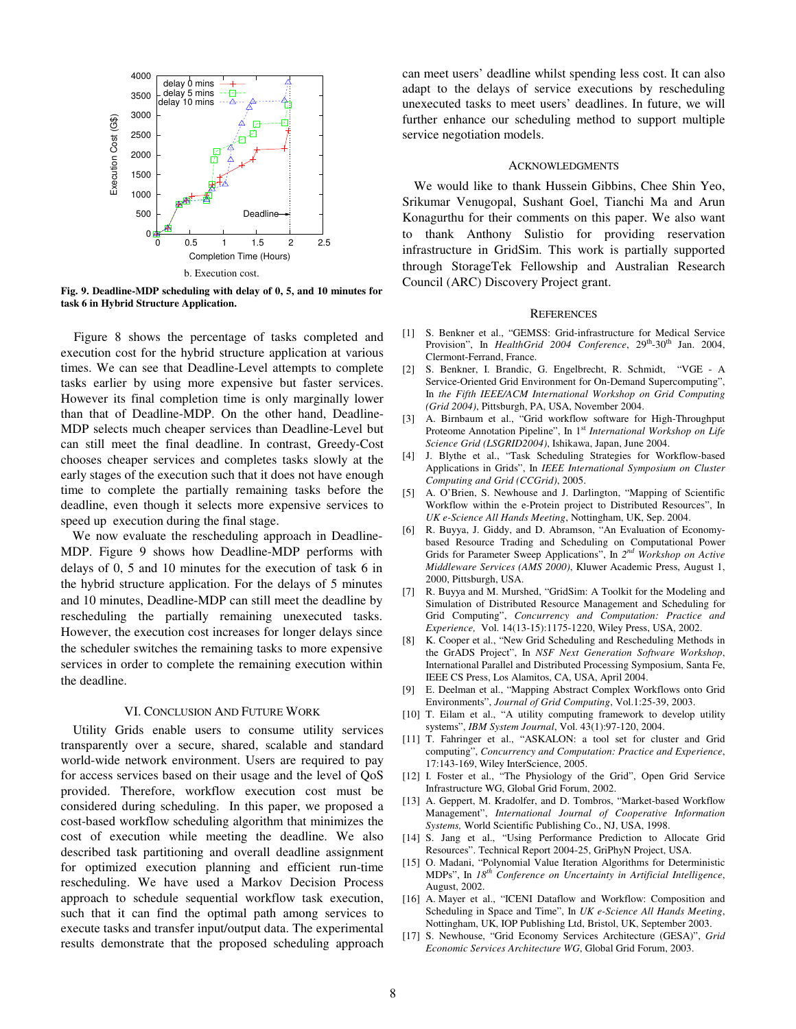

Fig. 9. Deadline-MDP scheduling with delay of 0, 5, and 10 minutes for task 6 in Hybrid Structure Application.

Figure 8 shows the percentage of tasks completed and execution cost for the hybrid structure application at various times. We can see that Deadline-Level attempts to complete tasks earlier by using more expensive but faster services. However its final completion time is only marginally lower than that of Deadline-MDP. On the other hand, Deadline-MDP selects much cheaper services than Deadline-Level but can still meet the final deadline. In contrast, Greedy-Cost chooses cheaper services and completes tasks slowly at the early stages of the execution such that it does not have enough time to complete the partially remaining tasks before the deadline, even though it selects more expensive services to speed up execution during the final stage.

We now evaluate the rescheduling approach in Deadline-MDP. Figure 9 shows how Deadline-MDP performs with delays of 0, 5 and 10 minutes for the execution of task 6 in the hybrid structure application. For the delays of 5 minutes and 10 minutes, Deadline-MDP can still meet the deadline by rescheduling the partially remaining unexecuted tasks. However, the execution cost increases for longer delays since the scheduler switches the remaining tasks to more expensive services in order to complete the remaining execution within the deadline.

#### VI. CONCLUSION AND FUTURE WORK

Utility Grids enable users to consume utility services transparently over a secure, shared, scalable and standard world-wide network environment. Users are required to pay for access services based on their usage and the level of QoS provided. Therefore, workflow execution cost must be considered during scheduling. In this paper, we proposed a cost-based workflow scheduling algorithm that minimizes the cost of execution while meeting the deadline. We also described task partitioning and overall deadline assignment for optimized execution planning and efficient run-time rescheduling. We have used a Markov Decision Process approach to schedule sequential workflow task execution, such that it can find the optimal path among services to execute tasks and transfer input/output data. The experimental results demonstrate that the proposed scheduling approach

can meet users' deadline whilst spending less cost. It can also adapt to the delays of service executions by rescheduling unexecuted tasks to meet users' deadlines. In future, we will further enhance our scheduling method to support multiple service negotiation models.

### **ACKNOWLEDGMENTS**

We would like to thank Hussein Gibbins, Chee Shin Yeo, Srikumar Venugopal, Sushant Goel, Tianchi Ma and Arun Konagurthu for their comments on this paper. We also want to thank Anthony Sulistio for providing reservation infrastructure in GridSim. This work is partially supported through StorageTek Fellowship and Australian Research Council (ARC) Discovery Project grant.

#### **REFERENCES**

- [1] S. Benkner et al., "GEMSS: Grid-infrastructure for Medical Service Provision", In HealthGrid 2004 Conference,  $29<sup>th</sup>$ -30<sup>th</sup> Jan. 2004, Clermont-Ferrand, France.
- [2] S. Benkner, I. Brandic, G. Engelbrecht, R. Schmidt, "VGE A Service-Oriented Grid Environment for On-Demand Supercomputing", In the Fifth IEEE/ACM International Workshop on Grid Computing (Grid 2004), Pittsburgh, PA, USA, November 2004.
- [3] A. Birnbaum et al., "Grid workflow software for High-Throughput Proteome Annotation Pipeline", In 1<sup>st</sup> International Workshop on Life Science Grid (LSGRID2004), Ishikawa, Japan, June 2004.
- [4] J. Blythe et al., "Task Scheduling Strategies for Workflow-based Applications in Grids", In IEEE International Symposium on Cluster Computing and Grid (CCGrid), 2005.
- [5] A. O'Brien, S. Newhouse and J. Darlington, "Mapping of Scientific Workflow within the e-Protein project to Distributed Resources", In UK e-Science All Hands Meeting, Nottingham, UK, Sep. 2004.
- [6] R. Buyya, J. Giddy, and D. Abramson, "An Evaluation of Economybased Resource Trading and Scheduling on Computational Power Grids for Parameter Sweep Applications", In 2<sup>nd</sup> Workshop on Active Middleware Services (AMS 2000), Kluwer Academic Press, August 1, 2000, Pittsburgh, USA.
- [7] R. Buyya and M. Murshed, "GridSim: A Toolkit for the Modeling and Simulation of Distributed Resource Management and Scheduling for Grid Computing", Concurrency and Computation: Practice and Experience, Vol. 14(13-15):1175-1220, Wiley Press, USA, 2002.
- [8] K. Cooper et al., "New Grid Scheduling and Rescheduling Methods in the GrADS Project", In NSF Next Generation Software Workshop, International Parallel and Distributed Processing Symposium, Santa Fe, IEEE CS Press, Los Alamitos, CA, USA, April 2004.
- [9] E. Deelman et al., "Mapping Abstract Complex Workflows onto Grid Environments", Journal of Grid Computing, Vol.1:25-39, 2003.
- [10] T. Eilam et al., "A utility computing framework to develop utility systems", IBM System Journal, Vol. 43(1):97-120, 2004.
- [11] T. Fahringer et al., "ASKALON: a tool set for cluster and Grid computing", Concurrency and Computation: Practice and Experience, 17:143-169, Wiley InterScience, 2005.
- [12] I. Foster et al., "The Physiology of the Grid", Open Grid Service Infrastructure WG, Global Grid Forum, 2002.
- [13] A. Geppert, M. Kradolfer, and D. Tombros, "Market-based Workflow Management", International Journal of Cooperative Information Systems, World Scientific Publishing Co., NJ, USA, 1998.
- [14] S. Jang et al., "Using Performance Prediction to Allocate Grid Resources". Technical Report 2004-25, GriPhyN Project, USA.
- [15] O. Madani, "Polynomial Value Iteration Algorithms for Deterministic MDPs", In  $18^{th}$  Conference on Uncertainty in Artificial Intelligence, August, 2002.
- [16] A. Mayer et al., "ICENI Dataflow and Workflow: Composition and Scheduling in Space and Time", In UK e-Science All Hands Meeting, Nottingham, UK, IOP Publishing Ltd, Bristol, UK, September 2003.
- [17] S. Newhouse, "Grid Economy Services Architecture (GESA)", Grid Economic Services Architecture WG, Global Grid Forum, 2003.